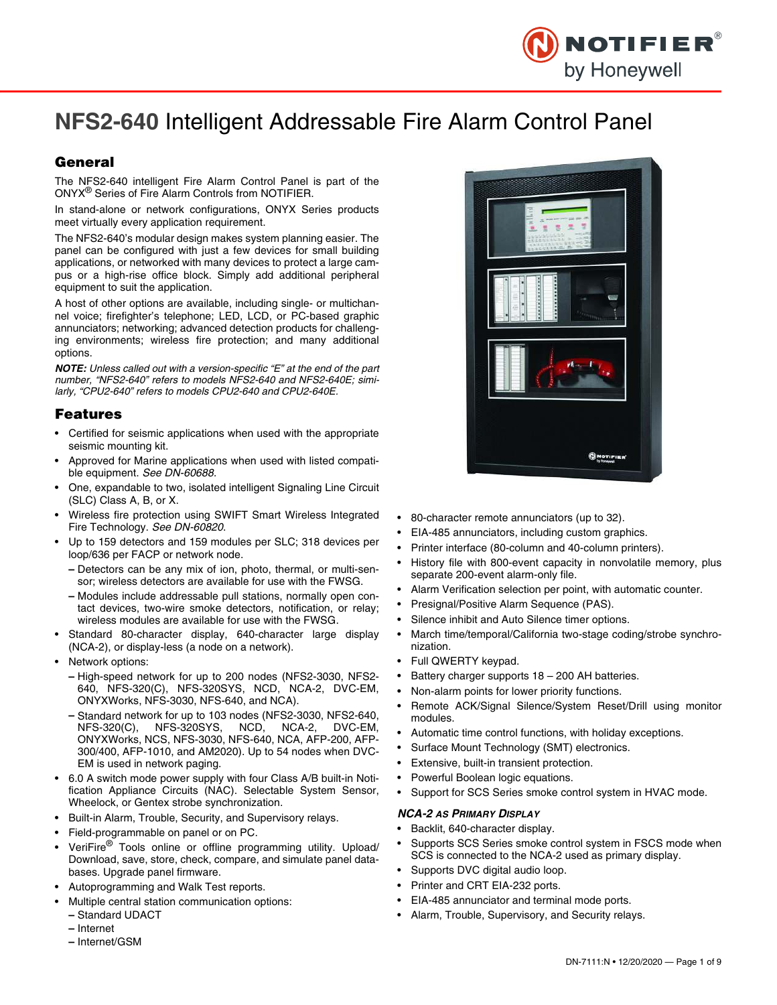

# **NFS2-640** Intelligent Addressable Fire Alarm Control Panel

# General

The NFS2-640 intelligent Fire Alarm Control Panel is part of the ONYX® Series of Fire Alarm Controls from NOTIFIER.

In stand-alone or network configurations, ONYX Series products meet virtually every application requirement.

The NFS2-640's modular design makes system planning easier. The panel can be configured with just a few devices for small building applications, or networked with many devices to protect a large campus or a high-rise office block. Simply add additional peripheral equipment to suit the application.

A host of other options are available, including single- or multichannel voice; firefighter's telephone; LED, LCD, or PC-based graphic annunciators; networking; advanced detection products for challenging environments; wireless fire protection; and many additional options.

*NOTE: Unless called out with a version-specific "E" at the end of the part number, "NFS2-640" refers to models NFS2-640 and NFS2-640E; similarly, "CPU2-640" refers to models CPU2-640 and CPU2-640E.* 

# Features

- Certified for seismic applications when used with the appropriate seismic mounting kit.
- Approved for Marine applications when used with listed compatible equipment. *See DN-60688.*
- One, expandable to two, isolated intelligent Signaling Line Circuit (SLC) Class A, B, or X.
- Wireless fire protection using SWIFT Smart Wireless Integrated Fire Technology. *See DN-60820*.
- Up to 159 detectors and 159 modules per SLC; 318 devices per loop/636 per FACP or network node.
	- **–** Detectors can be any mix of ion, photo, thermal, or multi-sensor; wireless detectors are available for use with the FWSG.
	- **–** Modules include addressable pull stations, normally open contact devices, two-wire smoke detectors, notification, or relay; wireless modules are available for use with the FWSG.
- Standard 80-character display, 640-character large display (NCA-2), or display-less (a node on a network).
- Network options:
	- **–** High-speed network for up to 200 nodes (NFS2-3030, NFS2- 640, NFS-320(C), NFS-320SYS, NCD, NCA-2, DVC-EM, ONYXWorks, NFS-3030, NFS-640, and NCA).
	- **–** Standard network for up to 103 nodes (NFS2-3030, NFS2-640, NFS-320SYS, ONYXWorks, NCS, NFS-3030, NFS-640, NCA, AFP-200, AFP-300/400, AFP-1010, and AM2020). Up to 54 nodes when DVC-EM is used in network paging.
- 6.0 A switch mode power supply with four Class A/B built-in Notification Appliance Circuits (NAC). Selectable System Sensor, Wheelock, or Gentex strobe synchronization.
- Built-in Alarm, Trouble, Security, and Supervisory relays.
- Field-programmable on panel or on PC.
- VeriFire® Tools online or offline programming utility. Upload/ Download, save, store, check, compare, and simulate panel databases. Upgrade panel firmware.
- Autoprogramming and Walk Test reports.
- Multiple central station communication options: **–** Standard UDACT
	- **–** Internet
	- **–** Internet/GSM
- 80-character remote annunciators (up to 32).
- EIA-485 annunciators, including custom graphics.
- Printer interface (80-column and 40-column printers).
- History file with 800-event capacity in nonvolatile memory, plus separate 200-event alarm-only file.
- Alarm Verification selection per point, with automatic counter.
- Presignal/Positive Alarm Sequence (PAS).
- Silence inhibit and Auto Silence timer options.
- March time/temporal/California two-stage coding/strobe synchronization.
- Full QWERTY keypad.
- Battery charger supports  $18 200$  AH batteries.
- Non-alarm points for lower priority functions.
- Remote ACK/Signal Silence/System Reset/Drill using monitor modules.
- Automatic time control functions, with holiday exceptions.
- Surface Mount Technology (SMT) electronics.
- Extensive, built-in transient protection.
- Powerful Boolean logic equations.

• Support for SCS Series smoke control system in HVAC mode.

### *NCA-2 AS PRIMARY DISPLAY*

- Backlit, 640-character display.
- Supports SCS Series smoke control system in FSCS mode when SCS is connected to the NCA-2 used as primary display.
- Supports DVC digital audio loop.
- Printer and CRT EIA-232 ports.
- EIA-485 annunciator and terminal mode ports.
- Alarm, Trouble, Supervisory, and Security relays.

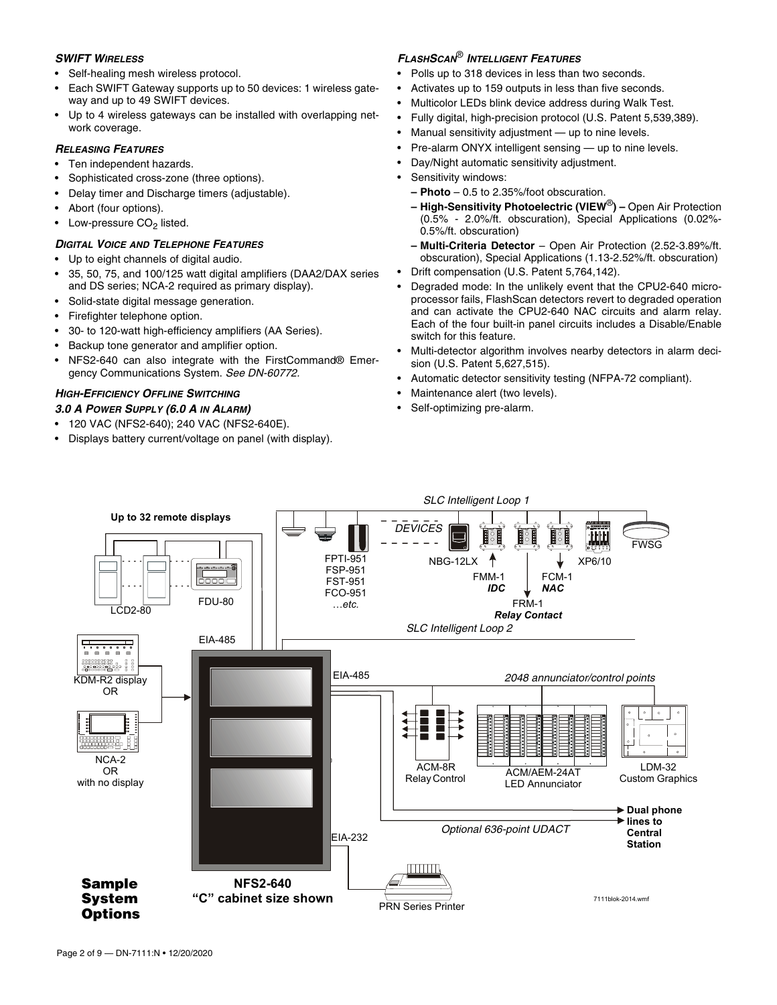### *SWIFT WIRELESS*

- Self-healing mesh wireless protocol.
- Each SWIFT Gateway supports up to 50 devices: 1 wireless gateway and up to 49 SWIFT devices.
- Up to 4 wireless gateways can be installed with overlapping network coverage.

### *RELEASING FEATURES*

- Ten independent hazards.
- Sophisticated cross-zone (three options).
- Delay timer and Discharge timers (adjustable).
- Abort (four options).
- Low-pressure CO $_2$  listed.

# *DIGITAL VOICE AND TELEPHONE FEATURES*

- Up to eight channels of digital audio.
- 35, 50, 75, and 100/125 watt digital amplifiers (DAA2/DAX series and DS series; NCA-2 required as primary display).
- Solid-state digital message generation.
- Firefighter telephone option.
- 30- to 120-watt high-efficiency amplifiers (AA Series).
- Backup tone generator and amplifier option.
- NFS2-640 can also integrate with the FirstCommand® Emergency Communications System. *See DN-60772.*

# *HIGH-EFFICIENCY OFFLINE SWITCHING*

### *3.0 A POWER SUPPLY (6.0 A IN ALARM)*

- 120 VAC (NFS2-640); 240 VAC (NFS2-640E).
- Displays battery current/voltage on panel (with display).

# *<sup>F</sup>LASHSCAN*® *INTELLIGENT FEATURES*

- Polls up to 318 devices in less than two seconds.
- Activates up to 159 outputs in less than five seconds.
- Multicolor LEDs blink device address during Walk Test.
- Fully digital, high-precision protocol (U.S. Patent 5,539,389).
- Manual sensitivity adjustment up to nine levels.
- Pre-alarm ONYX intelligent sensing up to nine levels.
- Day/Night automatic sensitivity adjustment.
- Sensitivity windows:
	- **Photo** 0.5 to 2.35%/foot obscuration.
	- **High-Sensitivity Photoelectric (VIEW**®**)** Open Air Protection (0.5% - 2.0%/ft. obscuration), Special Applications (0.02%- 0.5%/ft. obscuration)
	- **Multi-Criteria Detector** Open Air Protection (2.52-3.89%/ft. obscuration), Special Applications (1.13-2.52%/ft. obscuration)
- Drift compensation (U.S. Patent 5,764,142).
- Degraded mode: In the unlikely event that the CPU2-640 microprocessor fails, FlashScan detectors revert to degraded operation and can activate the CPU2-640 NAC circuits and alarm relay. Each of the four built-in panel circuits includes a Disable/Enable switch for this feature.
- Multi-detector algorithm involves nearby detectors in alarm decision (U.S. Patent 5,627,515).
- Automatic detector sensitivity testing (NFPA-72 compliant).
- Maintenance alert (two levels).
- Self-optimizing pre-alarm.

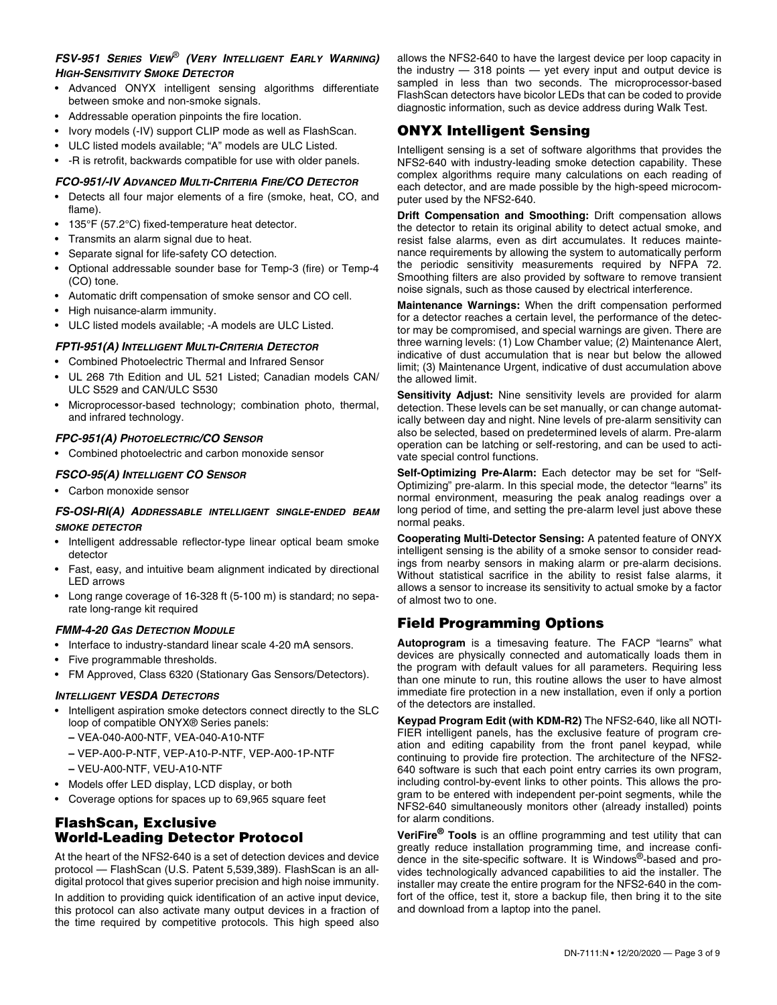# *FSV-951 SERIES VIEW*® *(VERY INTELLIGENT EARLY WARNING) HIGH-SENSITIVITY SMOKE DETECTOR*

- Advanced ONYX intelligent sensing algorithms differentiate between smoke and non-smoke signals.
- Addressable operation pinpoints the fire location.
- Ivory models (-IV) support CLIP mode as well as FlashScan.
- ULC listed models available; "A" models are ULC Listed.
- -R is retrofit, backwards compatible for use with older panels.

### *FCO-951/-IV ADVANCED MULTI-CRITERIA FIRE/CO DETECTOR*

- Detects all four major elements of a fire (smoke, heat, CO, and flame).
- 135°F (57.2°C) fixed-temperature heat detector.
- Transmits an alarm signal due to heat.
- Separate signal for life-safety CO detection.
- Optional addressable sounder base for Temp-3 (fire) or Temp-4 (CO) tone.
- Automatic drift compensation of smoke sensor and CO cell.
- High nuisance-alarm immunity.
- ULC listed models available; -A models are ULC Listed.

### *FPTI-951(A) INTELLIGENT MULTI-CRITERIA DETECTOR*

- Combined Photoelectric Thermal and Infrared Sensor
- UL 268 7th Edition and UL 521 Listed; Canadian models CAN/ ULC S529 and CAN/ULC S530
- Microprocessor-based technology; combination photo, thermal, and infrared technology.

### *FPC-951(A) PHOTOELECTRIC/CO SENSOR*

• Combined photoelectric and carbon monoxide sensor

# *FSCO-95(A) INTELLIGENT CO SENSOR*

• Carbon monoxide sensor

### *FS-OSI-RI(A) ADDRESSABLE INTELLIGENT SINGLE-ENDED BEAM SMOKE DETECTOR*

- Intelligent addressable reflector-type linear optical beam smoke detector
- Fast, easy, and intuitive beam alignment indicated by directional LED arrows
- Long range coverage of 16-328 ft (5-100 m) is standard; no separate long-range kit required

### *FMM-4-20 GAS DETECTION MODULE*

- Interface to industry-standard linear scale 4-20 mA sensors.
- Five programmable thresholds.
- FM Approved, Class 6320 (Stationary Gas Sensors/Detectors).

### *INTELLIGENT VESDA DETECTORS*

- Intelligent aspiration smoke detectors connect directly to the SLC loop of compatible ONYX® Series panels:
	- **–** VEA-040-A00-NTF, VEA-040-A10-NTF
	- **–** VEP-A00-P-NTF, VEP-A10-P-NTF, VEP-A00-1P-NTF
	- **–** VEU-A00-NTF, VEU-A10-NTF
- Models offer LED display, LCD display, or both
- Coverage options for spaces up to 69,965 square feet

# FlashScan, Exclusive World-Leading Detector Protocol

At the heart of the NFS2-640 is a set of detection devices and device protocol — FlashScan (U.S. Patent 5,539,389). FlashScan is an alldigital protocol that gives superior precision and high noise immunity.

In addition to providing quick identification of an active input device, this protocol can also activate many output devices in a fraction of the time required by competitive protocols. This high speed also allows the NFS2-640 to have the largest device per loop capacity in the industry — 318 points — yet every input and output device is sampled in less than two seconds. The microprocessor-based FlashScan detectors have bicolor LEDs that can be coded to provide diagnostic information, such as device address during Walk Test.

# ONYX Intelligent Sensing

Intelligent sensing is a set of software algorithms that provides the NFS2-640 with industry-leading smoke detection capability. These complex algorithms require many calculations on each reading of each detector, and are made possible by the high-speed microcomputer used by the NFS2-640.

**Drift Compensation and Smoothing:** Drift compensation allows the detector to retain its original ability to detect actual smoke, and resist false alarms, even as dirt accumulates. It reduces maintenance requirements by allowing the system to automatically perform the periodic sensitivity measurements required by NFPA 72. Smoothing filters are also provided by software to remove transient noise signals, such as those caused by electrical interference.

**Maintenance Warnings:** When the drift compensation performed for a detector reaches a certain level, the performance of the detector may be compromised, and special warnings are given. There are three warning levels: (1) Low Chamber value; (2) Maintenance Alert, indicative of dust accumulation that is near but below the allowed limit; (3) Maintenance Urgent, indicative of dust accumulation above the allowed limit.

**Sensitivity Adjust:** Nine sensitivity levels are provided for alarm detection. These levels can be set manually, or can change automatically between day and night. Nine levels of pre-alarm sensitivity can also be selected, based on predetermined levels of alarm. Pre-alarm operation can be latching or self-restoring, and can be used to activate special control functions.

**Self-Optimizing Pre-Alarm:** Each detector may be set for "Self-Optimizing" pre-alarm. In this special mode, the detector "learns" its normal environment, measuring the peak analog readings over a long period of time, and setting the pre-alarm level just above these normal peaks.

**Cooperating Multi-Detector Sensing:** A patented feature of ONYX intelligent sensing is the ability of a smoke sensor to consider readings from nearby sensors in making alarm or pre-alarm decisions. Without statistical sacrifice in the ability to resist false alarms, it allows a sensor to increase its sensitivity to actual smoke by a factor of almost two to one.

# Field Programming Options

**Autoprogram** is a timesaving feature. The FACP "learns" what devices are physically connected and automatically loads them in the program with default values for all parameters. Requiring less than one minute to run, this routine allows the user to have almost immediate fire protection in a new installation, even if only a portion of the detectors are installed.

**Keypad Program Edit (with KDM-R2)** The NFS2-640, like all NOTI-FIER intelligent panels, has the exclusive feature of program creation and editing capability from the front panel keypad, while continuing to provide fire protection. The architecture of the NFS2- 640 software is such that each point entry carries its own program, including control-by-event links to other points. This allows the program to be entered with independent per-point segments, while the NFS2-640 simultaneously monitors other (already installed) points for alarm conditions.

**VeriFire® Tools** is an offline programming and test utility that can greatly reduce installation programming time, and increase confidence in the site-specific software. It is Windows®-based and provides technologically advanced capabilities to aid the installer. The installer may create the entire program for the NFS2-640 in the comfort of the office, test it, store a backup file, then bring it to the site and download from a laptop into the panel.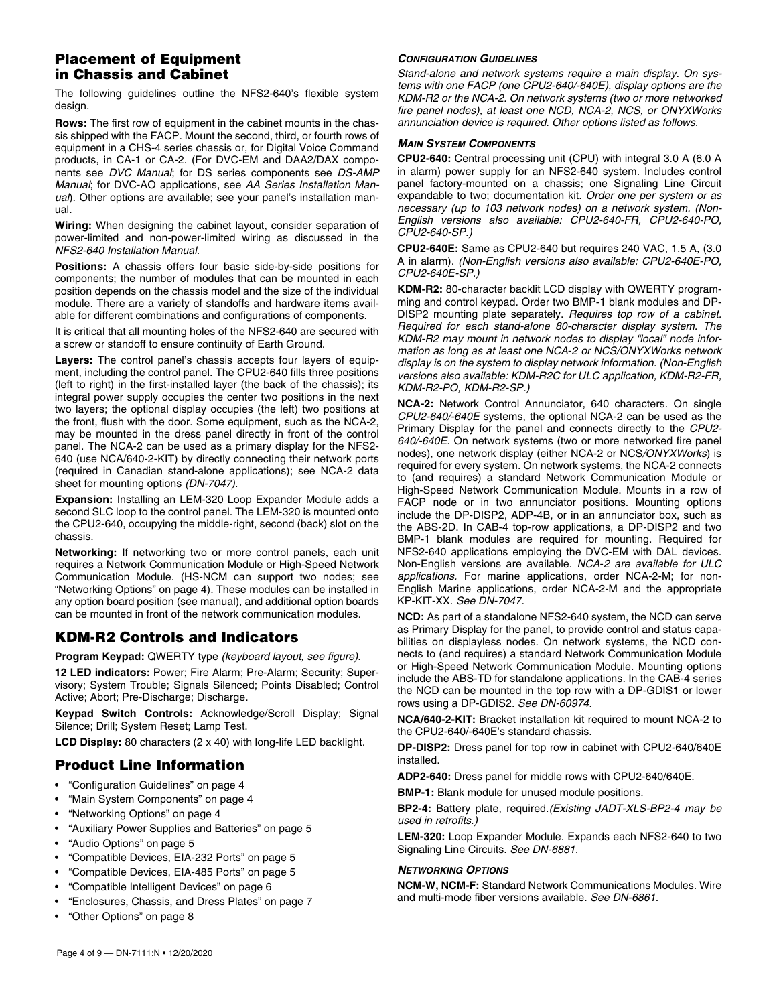# Placement of Equipment in Chassis and Cabinet

The following guidelines outline the NFS2-640's flexible system design.

**Rows:** The first row of equipment in the cabinet mounts in the chassis shipped with the FACP. Mount the second, third, or fourth rows of equipment in a CHS-4 series chassis or, for Digital Voice Command products, in CA-1 or CA-2. (For DVC-EM and DAA2/DAX components see *DVC Manual*; for DS series components see *DS-AMP Manual*; for DVC-AO applications, see *AA Series Installation Manual*). Other options are available; see your panel's installation manual.

**Wiring:** When designing the cabinet layout, consider separation of power-limited and non-power-limited wiring as discussed in the *NFS2-640 Installation Manual*.

**Positions:** A chassis offers four basic side-by-side positions for components; the number of modules that can be mounted in each position depends on the chassis model and the size of the individual module. There are a variety of standoffs and hardware items available for different combinations and configurations of components.

It is critical that all mounting holes of the NFS2-640 are secured with a screw or standoff to ensure continuity of Earth Ground.

**Layers:** The control panel's chassis accepts four layers of equipment, including the control panel. The CPU2-640 fills three positions (left to right) in the first-installed layer (the back of the chassis); its integral power supply occupies the center two positions in the next two layers; the optional display occupies (the left) two positions at the front, flush with the door. Some equipment, such as the NCA-2, may be mounted in the dress panel directly in front of the control panel. The NCA-2 can be used as a primary display for the NFS2- 640 (use NCA/640-2-KIT) by directly connecting their network ports (required in Canadian stand-alone applications); see NCA-2 data sheet for mounting options *(DN-7047)*.

**Expansion:** Installing an LEM-320 Loop Expander Module adds a second SLC loop to the control panel. The LEM-320 is mounted onto the CPU2-640, occupying the middle-right, second (back) slot on the chassis.

**Networking:** If networking two or more control panels, each unit requires a Network Communication Module or High-Speed Network Communication Module. (HS-NCM can support two nodes; see "Networking Options" on page 4). These modules can be installed in any option board position (see manual), and additional option boards can be mounted in front of the network communication modules.

# KDM-R2 Controls and Indicators

**Program Keypad:** QWERTY type *(keyboard layout, see figure)*.

**12 LED indicators:** Power; Fire Alarm; Pre-Alarm; Security; Supervisory; System Trouble; Signals Silenced; Points Disabled; Control Active; Abort; Pre-Discharge; Discharge.

**Keypad Switch Controls:** Acknowledge/Scroll Display; Signal Silence; Drill; System Reset; Lamp Test.

**LCD Display:** 80 characters (2 x 40) with long-life LED backlight.

# Product Line Information

- "Configuration Guidelines" on page 4
- "Main System Components" on page 4
- "Networking Options" on page 4
- "Auxiliary Power Supplies and Batteries" on page 5
- "Audio Options" on page 5
- "Compatible Devices, EIA-232 Ports" on page 5
- "Compatible Devices, EIA-485 Ports" on page 5
- "Compatible Intelligent Devices" on page 6
- "Enclosures, Chassis, and Dress Plates" on page 7
- "Other Options" on page 8

### *CONFIGURATION GUIDELINES*

*Stand-alone and network systems require a main display. On systems with one FACP (one CPU2-640/-640E), display options are the KDM-R2 or the NCA-2. On network systems (two or more networked fire panel nodes), at least one NCD, NCA-2, NCS, or ONYXWorks annunciation device is required. Other options listed as follows.*

### *MAIN SYSTEM COMPONENTS*

**CPU2-640:** Central processing unit (CPU) with integral 3.0 A (6.0 A in alarm) power supply for an NFS2-640 system. Includes control panel factory-mounted on a chassis; one Signaling Line Circuit expandable to two; documentation kit. *Order one per system or as necessary (up to 103 network nodes) on a network system. (Non-English versions also available: CPU2-640-FR, CPU2-640-PO, CPU2-640-SP.)* 

**CPU2-640E:** Same as CPU2-640 but requires 240 VAC, 1.5 A, (3.0 A in alarm). *(Non-English versions also available: CPU2-640E-PO, CPU2-640E-SP.)* 

**KDM-R2:** 80-character backlit LCD display with QWERTY programming and control keypad. Order two BMP-1 blank modules and DP-DISP2 mounting plate separately. *Requires top row of a cabinet. Required for each stand-alone 80-character display system. The KDM-R2 may mount in network nodes to display "local" node information as long as at least one NCA*-*2 or NCS/ONYXWorks network display is on the system to display network information. (Non-English versions also available: KDM-R2C for ULC application, KDM-R2-FR, KDM-R2-PO, KDM-R2-SP.)*

**NCA-2:** Network Control Annunciator, 640 characters. On single *CPU2-640/-640E* systems, the optional NCA-2 can be used as the Primary Display for the panel and connects directly to the *CPU2- 640/-640E*. On network systems (two or more networked fire panel nodes), one network display (either NCA-2 or NCS*/ONYXWorks*) is required for every system. On network systems, the NCA-2 connects to (and requires) a standard Network Communication Module or High-Speed Network Communication Module. Mounts in a row of FACP node or in two annunciator positions. Mounting options include the DP-DISP2, ADP-4B, or in an annunciator box, such as the ABS-2D. In CAB-4 top-row applications, a DP-DISP2 and two BMP-1 blank modules are required for mounting. Required for NFS2-640 applications employing the DVC-EM with DAL devices. Non-English versions are available. *NCA*-*2 are available for ULC applications.* For marine applications, order NCA-2-M; for non-English Marine applications, order NCA-2-M and the appropriate KP-KIT-XX. *See DN-7047.*

**NCD:** As part of a standalone NFS2-640 system, the NCD can serve as Primary Display for the panel, to provide control and status capabilities on displayless nodes. On network systems, the NCD connects to (and requires) a standard Network Communication Module or High-Speed Network Communication Module. Mounting options include the ABS-TD for standalone applications. In the CAB-4 series the NCD can be mounted in the top row with a DP-GDIS1 or lower rows using a DP-GDIS2. *See DN-60974.*

**NCA/640-2-KIT:** Bracket installation kit required to mount NCA-2 to the CPU2-640/-640E's standard chassis.

**DP-DISP2:** Dress panel for top row in cabinet with CPU2-640/640E installed.

**ADP2-640:** Dress panel for middle rows with CPU2-640/640E.

**BMP-1:** Blank module for unused module positions.

**BP2-4:** Battery plate, required.*(Existing JADT-XLS-BP2-4 may be used in retrofits.)* 

**LEM-320:** Loop Expander Module. Expands each NFS2-640 to two Signaling Line Circuits. *See DN-6881.* 

### *NETWORKING OPTIONS*

**NCM-W, NCM-F:** Standard Network Communications Modules. Wire and multi-mode fiber versions available. *See DN-6861*.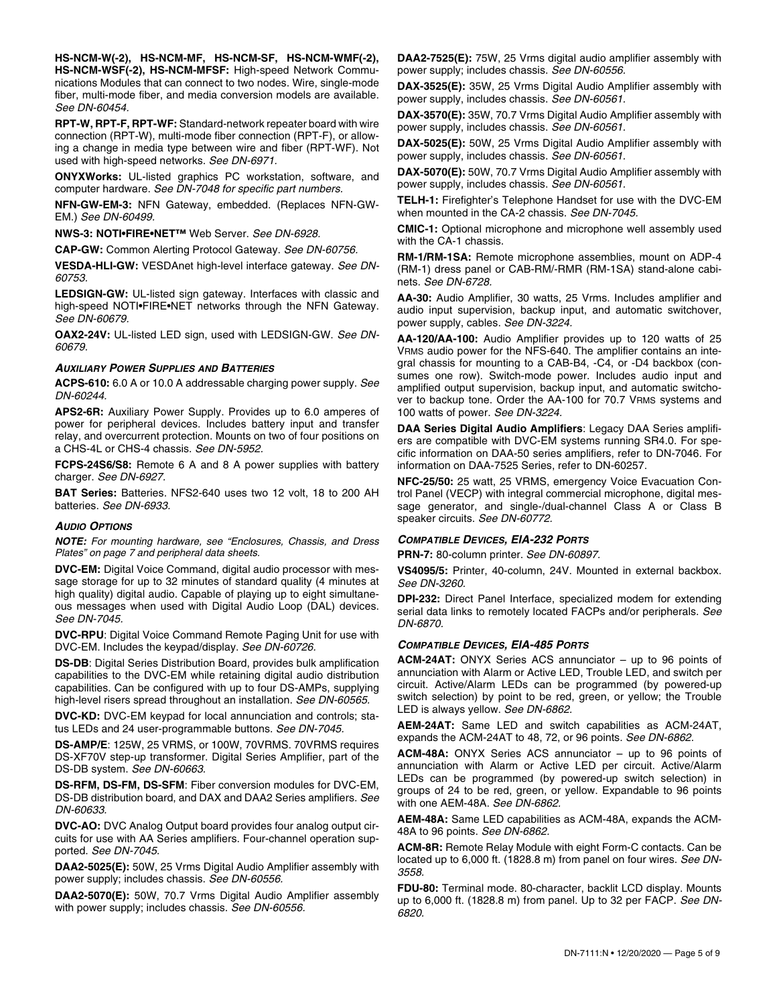**HS-NCM-W(-2), HS-NCM-MF, HS-NCM-SF, HS-NCM-WMF(-2), HS-NCM-WSF(-2), HS-NCM-MFSF:** High-speed Network Communications Modules that can connect to two nodes. Wire, single-mode fiber, multi-mode fiber, and media conversion models are available. *See DN-60454.*

**RPT-W, RPT-F, RPT-WF:** Standard-network repeater board with wire connection (RPT-W), multi-mode fiber connection (RPT-F), or allowing a change in media type between wire and fiber (RPT-WF). Not used with high-speed networks. *See DN-6971.* 

**ONYXWorks:** UL-listed graphics PC workstation, software, and computer hardware. *See DN-7048 for specific part numbers.*

**NFN-GW-EM-3:** NFN Gateway, embedded. (Replaces NFN-GW-EM.) *See DN-60499.* 

**NWS-3: NOTI•FIRE•NET™** Web Server. *See DN-6928.*

**CAP-GW:** Common Alerting Protocol Gateway. *See DN-60756.* 

**VESDA-HLI-GW:** VESDAnet high-level interface gateway. *See DN-60753.*

**LEDSIGN-GW:** UL-listed sign gateway. Interfaces with classic and high-speed NOTI•FIRE•NET networks through the NFN Gateway. *See DN-60679.* 

**OAX2-24V:** UL-listed LED sign, used with LEDSIGN-GW. *See DN-60679.* 

#### *AUXILIARY POWER SUPPLIES AND BATTERIES*

**ACPS-610:** 6.0 A or 10.0 A addressable charging power supply. *See DN-60244.*

**APS2-6R:** Auxiliary Power Supply. Provides up to 6.0 amperes of power for peripheral devices. Includes battery input and transfer relay, and overcurrent protection. Mounts on two of four positions on a CHS-4L or CHS-4 chassis. *See DN-5952.* 

**FCPS-24S6/S8:** Remote 6 A and 8 A power supplies with battery charger. *See DN-6927.* 

**BAT Series:** Batteries. NFS2-640 uses two 12 volt, 18 to 200 AH batteries. *See DN-6933.* 

### *AUDIO OPTIONS*

*NOTE: For mounting hardware, see "Enclosures, Chassis, and Dress Plates" on page 7 and peripheral data sheets.* 

**DVC-EM:** Digital Voice Command, digital audio processor with message storage for up to 32 minutes of standard quality (4 minutes at high quality) digital audio. Capable of playing up to eight simultaneous messages when used with Digital Audio Loop (DAL) devices. *See DN-7045.*

**DVC-RPU**: Digital Voice Command Remote Paging Unit for use with DVC-EM. Includes the keypad/display. *See DN-60726.* 

**DS-DB**: Digital Series Distribution Board, provides bulk amplification capabilities to the DVC-EM while retaining digital audio distribution capabilities. Can be configured with up to four DS-AMPs, supplying high-level risers spread throughout an installation. *See DN-60565.*

**DVC-KD:** DVC-EM keypad for local annunciation and controls; status LEDs and 24 user-programmable buttons. *See DN-7045.*

**DS-AMP/E**: 125W, 25 VRMS, or 100W, 70VRMS. 70VRMS requires DS-XF70V step-up transformer. Digital Series Amplifier, part of the DS-DB system. *See DN-60663.*

**DS-RFM, DS-FM, DS-SFM**: Fiber conversion modules for DVC-EM, DS-DB distribution board, and DAX and DAA2 Series amplifiers. *See DN-60633.*

**DVC-AO:** DVC Analog Output board provides four analog output circuits for use with AA Series amplifiers. Four-channel operation supported. *See DN-7045.*

**DAA2-5025(E):** 50W, 25 Vrms Digital Audio Amplifier assembly with power supply; includes chassis. *See DN-60556.*

**DAA2-5070(E):** 50W, 70.7 Vrms Digital Audio Amplifier assembly with power supply; includes chassis. *See DN-60556.* 

**DAA2-7525(E):** 75W, 25 Vrms digital audio amplifier assembly with power supply; includes chassis. *See DN-60556.* 

**DAX-3525(E):** 35W, 25 Vrms Digital Audio Amplifier assembly with power supply, includes chassis. *See DN-60561.* 

**DAX-3570(E):** 35W, 70.7 Vrms Digital Audio Amplifier assembly with power supply, includes chassis. *See DN-60561.* 

**DAX-5025(E):** 50W, 25 Vrms Digital Audio Amplifier assembly with power supply, includes chassis. *See DN-60561.* 

**DAX-5070(E):** 50W, 70.7 Vrms Digital Audio Amplifier assembly with power supply, includes chassis. *See DN-60561.* 

**TELH-1:** Firefighter's Telephone Handset for use with the DVC-EM when mounted in the CA-2 chassis. *See DN-7045.*

**CMIC-1:** Optional microphone and microphone well assembly used with the CA-1 chassis.

**RM-1/RM-1SA:** Remote microphone assemblies, mount on ADP-4 (RM-1) dress panel or CAB-RM/-RMR (RM-1SA) stand-alone cabinets. *See DN-6728.* 

**AA-30:** Audio Amplifier, 30 watts, 25 Vrms. Includes amplifier and audio input supervision, backup input, and automatic switchover, power supply, cables. *See DN-3224.*

**AA-120/AA-100:** Audio Amplifier provides up to 120 watts of 25 VRMS audio power for the NFS-640. The amplifier contains an integral chassis for mounting to a CAB-B4, -C4, or -D4 backbox (consumes one row). Switch-mode power. Includes audio input and amplified output supervision, backup input, and automatic switchover to backup tone. Order the AA-100 for 70.7 VRMS systems and 100 watts of power. *See DN-3224.*

**DAA Series Digital Audio Amplifiers**: Legacy DAA Series amplifiers are compatible with DVC-EM systems running SR4.0. For specific information on DAA-50 series amplifiers, refer to DN-7046. For information on DAA-7525 Series, refer to DN-60257.

**NFC-25/50:** 25 watt, 25 VRMS, emergency Voice Evacuation Control Panel (VECP) with integral commercial microphone, digital message generator, and single-/dual-channel Class A or Class B speaker circuits. *See DN-60772.*

### *COMPATIBLE DEVICES, EIA-232 PORTS*

**PRN-7:** 80-column printer. *See DN-60897.* 

**VS4095/5:** Printer, 40-column, 24V. Mounted in external backbox. *See DN-3260.* 

**DPI-232:** Direct Panel Interface, specialized modem for extending serial data links to remotely located FACPs and/or peripherals. *See DN-6870.* 

### *COMPATIBLE DEVICES, EIA-485 PORTS*

**ACM-24AT:** ONYX Series ACS annunciator – up to 96 points of annunciation with Alarm or Active LED, Trouble LED, and switch per circuit. Active/Alarm LEDs can be programmed (by powered-up switch selection) by point to be red, green, or yellow; the Trouble LED is always yellow. *See DN-6862.*

**AEM-24AT:** Same LED and switch capabilities as ACM-24AT, expands the ACM-24AT to 48, 72, or 96 points. *See DN-6862.*

**ACM-48A:** ONYX Series ACS annunciator – up to 96 points of annunciation with Alarm or Active LED per circuit. Active/Alarm LEDs can be programmed (by powered-up switch selection) in groups of 24 to be red, green, or yellow. Expandable to 96 points with one AEM-48A. *See DN-6862.*

**AEM-48A:** Same LED capabilities as ACM-48A, expands the ACM-48A to 96 points. *See DN-6862.*

**ACM-8R:** Remote Relay Module with eight Form-C contacts. Can be located up to 6,000 ft. (1828.8 m) from panel on four wires. *See DN-3558.* 

**FDU-80:** Terminal mode. 80-character, backlit LCD display. Mounts up to 6,000 ft. (1828.8 m) from panel. Up to 32 per FACP. *See DN-6820.*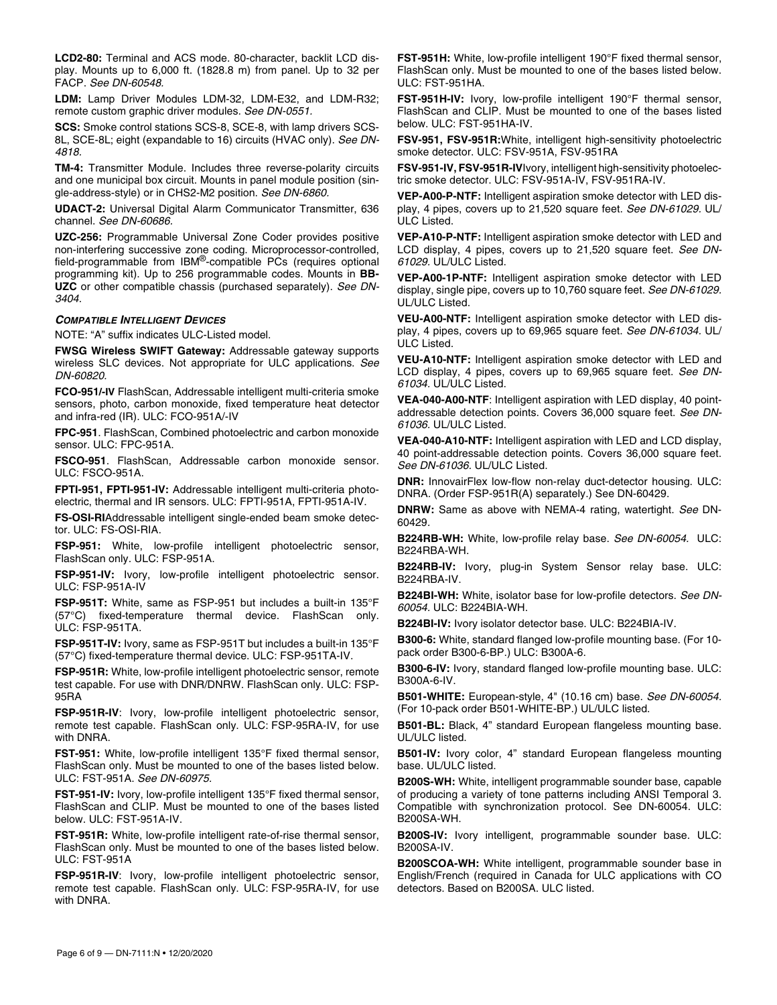**LCD2-80:** Terminal and ACS mode. 80-character, backlit LCD display. Mounts up to 6,000 ft. (1828.8 m) from panel. Up to 32 per FACP. *See DN-60548.*

**LDM:** Lamp Driver Modules LDM-32, LDM-E32, and LDM-R32; remote custom graphic driver modules. *See DN-0551.*

**SCS:** Smoke control stations SCS-8, SCE-8, with lamp drivers SCS-8L, SCE-8L; eight (expandable to 16) circuits (HVAC only). *See DN-4818.*

**TM-4:** Transmitter Module. Includes three reverse-polarity circuits and one municipal box circuit. Mounts in panel module position (single-address-style) or in CHS2-M2 position. *See DN-6860.* 

**UDACT-2:** Universal Digital Alarm Communicator Transmitter, 636 channel. *See DN-60686.* 

**UZC-256:** Programmable Universal Zone Coder provides positive non-interfering successive zone coding. Microprocessor-controlled, field-programmable from IBM®-compatible PCs (requires optional programming kit). Up to 256 programmable codes. Mounts in **BB-UZC** or other compatible chassis (purchased separately). *See DN-3404.*

### *COMPATIBLE INTELLIGENT DEVICES*

NOTE: "A" suffix indicates ULC-Listed model.

**FWSG Wireless SWIFT Gateway:** Addressable gateway supports wireless SLC devices. Not appropriate for ULC applications. *See DN-60820.* 

**FCO-951/-IV** FlashScan, Addressable intelligent multi-criteria smoke sensors, photo, carbon monoxide, fixed temperature heat detector and infra-red (IR). ULC: FCO-951A/-IV

**FPC-951**. FlashScan, Combined photoelectric and carbon monoxide sensor. ULC: FPC-951A.

**FSCO-951**. FlashScan, Addressable carbon monoxide sensor. ULC: FSCO-951A.

**FPTI-951, FPTI-951-IV:** Addressable intelligent multi-criteria photoelectric, thermal and IR sensors. ULC: FPTI-951A, FPTI-951A-IV.

**FS-OSI-RI**Addressable intelligent single-ended beam smoke detector. ULC: FS-OSI-RIA.

**FSP-951:** White, low-profile intelligent photoelectric sensor, FlashScan only. ULC: FSP-951A.

**FSP-951-IV:** Ivory, low-profile intelligent photoelectric sensor. ULC: FSP-951A-IV

**FSP-951T:** White, same as FSP-951 but includes a built-in 135°F (57°C) fixed-temperature thermal device. FlashScan only. ULC: FSP-951TA.

**FSP-951T-IV:** Ivory, same as FSP-951T but includes a built-in 135°F (57°C) fixed-temperature thermal device. ULC: FSP-951TA-IV.

**FSP-951R:** White, low-profile intelligent photoelectric sensor, remote test capable. For use with DNR/DNRW. FlashScan only. ULC: FSP-95RA

**FSP-951R-IV**: Ivory, low-profile intelligent photoelectric sensor, remote test capable. FlashScan only. ULC: FSP-95RA-IV, for use with DNRA.

**FST-951:** White, low-profile intelligent 135°F fixed thermal sensor, FlashScan only. Must be mounted to one of the bases listed below. ULC: FST-951A. *See DN-60975.*

**FST-951-IV:** Ivory, low-profile intelligent 135°F fixed thermal sensor, FlashScan and CLIP. Must be mounted to one of the bases listed below. ULC: FST-951A-IV.

**FST-951R:** White, low-profile intelligent rate-of-rise thermal sensor, FlashScan only. Must be mounted to one of the bases listed below. ULC: FST-951A

**FSP-951R-IV**: Ivory, low-profile intelligent photoelectric sensor, remote test capable. FlashScan only. ULC: FSP-95RA-IV, for use with DNRA.

**FST-951H:** White, low-profile intelligent 190°F fixed thermal sensor, FlashScan only. Must be mounted to one of the bases listed below. ULC: FST-951HA.

**FST-951H-IV:** Ivory, low-profile intelligent 190°F thermal sensor, FlashScan and CLIP. Must be mounted to one of the bases listed below. ULC: FST-951HA-IV.

**FSV-951, FSV-951R:**White, intelligent high-sensitivity photoelectric smoke detector. ULC: FSV-951A, FSV-951RA

**FSV-951-IV, FSV-951R-IV**Ivory, intelligent high-sensitivity photoelectric smoke detector. ULC: FSV-951A-IV, FSV-951RA-IV.

**VEP-A00-P-NTF:** Intelligent aspiration smoke detector with LED display, 4 pipes, covers up to 21,520 square feet. *See DN-61029.* UL/ ULC Listed.

**VEP-A10-P-NTF:** Intelligent aspiration smoke detector with LED and LCD display, 4 pipes, covers up to 21,520 square feet. *See DN-61029.* UL/ULC Listed.

**VEP-A00-1P-NTF:** Intelligent aspiration smoke detector with LED display, single pipe, covers up to 10,760 square feet. *See DN-61029.* UL/ULC Listed.

**VEU-A00-NTF:** Intelligent aspiration smoke detector with LED display, 4 pipes, covers up to 69,965 square feet. *See DN-61034.* UL/ ULC Listed.

**VEU-A10-NTF:** Intelligent aspiration smoke detector with LED and LCD display, 4 pipes, covers up to 69,965 square feet. *See DN-61034.* UL/ULC Listed.

**VEA-040-A00-NTF**: Intelligent aspiration with LED display, 40 pointaddressable detection points. Covers 36,000 square feet. *See DN-61036.* UL/ULC Listed.

**VEA-040-A10-NTF:** Intelligent aspiration with LED and LCD display, 40 point-addressable detection points. Covers 36,000 square feet. *See DN-61036.* UL/ULC Listed.

**DNR:** InnovairFlex low-flow non-relay duct-detector housing. ULC: DNRA. (Order FSP-951R(A) separately.) See DN-60429.

**DNRW:** Same as above with NEMA-4 rating, watertight. *See* DN-60429*.* 

**B224RB-WH:** White, low-profile relay base. *See DN-60054.* ULC: B224RBA-WH.

**B224RB-IV:** Ivory, plug-in System Sensor relay base. ULC: B224RBA-IV.

**B224BI-WH:** White, isolator base for low-profile detectors. *See DN-60054.* ULC: B224BIA-WH.

**B224BI-IV:** Ivory isolator detector base. ULC: B224BIA-IV.

**B300-6:** White, standard flanged low-profile mounting base. (For 10 pack order B300-6-BP.) ULC: B300A-6.

**B300-6-IV:** Ivory, standard flanged low-profile mounting base. ULC: B300A-6-IV.

**B501-WHITE:** European-style, 4" (10.16 cm) base. *See DN-60054.* (For 10-pack order B501-WHITE-BP.) UL/ULC listed.

**B501-BL:** Black, 4" standard European flangeless mounting base. UL/ULC listed.

**B501-IV:** Ivory color, 4" standard European flangeless mounting base. UL/ULC listed.

**B200S-WH:** White, intelligent programmable sounder base, capable of producing a variety of tone patterns including ANSI Temporal 3. Compatible with synchronization protocol. See DN-60054. ULC: B200SA-WH.

**B200S-IV:** Ivory intelligent, programmable sounder base. ULC: B200SA-IV.

**B200SCOA-WH:** White intelligent, programmable sounder base in English/French (required in Canada for ULC applications with CO detectors. Based on B200SA. ULC listed.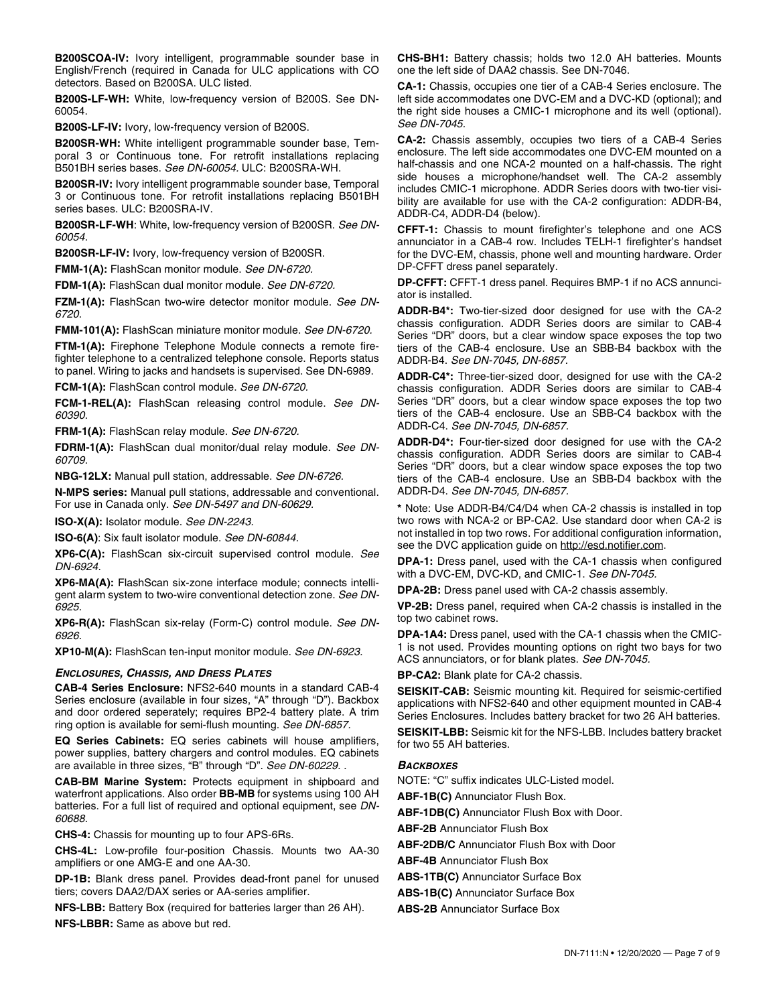**B200SCOA-IV:** Ivory intelligent, programmable sounder base in English/French (required in Canada for ULC applications with CO detectors. Based on B200SA. ULC listed.

**B200S-LF-WH:** White, low-frequency version of B200S. See DN-60054.

**B200S-LF-IV:** Ivory, low-frequency version of B200S.

**B200SR-WH:** White intelligent programmable sounder base, Temporal 3 or Continuous tone. For retrofit installations replacing B501BH series bases. *See DN-60054.* ULC: B200SRA-WH.

**B200SR-IV:** Ivory intelligent programmable sounder base, Temporal 3 or Continuous tone. For retrofit installations replacing B501BH series bases. ULC: B200SRA-IV.

**B200SR-LF-WH**: White, low-frequency version of B200SR. *See DN-60054.* 

**B200SR-LF-IV:** Ivory, low-frequency version of B200SR.

**FMM-1(A):** FlashScan monitor module. *See DN-6720.*

**FDM-1(A):** FlashScan dual monitor module. *See DN-6720.*

**FZM-1(A):** FlashScan two-wire detector monitor module. *See DN-6720.*

**FMM-101(A):** FlashScan miniature monitor module. *See DN-6720.*

**FTM-1(A):** Firephone Telephone Module connects a remote firefighter telephone to a centralized telephone console. Reports status to panel. Wiring to jacks and handsets is supervised. See DN-6989.

**FCM-1(A):** FlashScan control module. *See DN-6720.*

**FCM-1-REL(A):** FlashScan releasing control module. *See DN-60390.*

**FRM-1(A):** FlashScan relay module. *See DN-6720.*

**FDRM-1(A):** FlashScan dual monitor/dual relay module. *See DN-60709.*

**NBG-12LX:** Manual pull station, addressable. *See DN-6726.*

**N-MPS series:** Manual pull stations, addressable and conventional. For use in Canada only. *See DN-5497 and DN-60629.* 

**ISO-X(A):** Isolator module. *See DN-2243.*

**ISO-6(A)**: Six fault isolator module. *See DN-60844.* 

**XP6-C(A):** FlashScan six-circuit supervised control module. *See DN-6924.* 

**XP6-MA(A):** FlashScan six-zone interface module; connects intelligent alarm system to two-wire conventional detection zone. *See DN-6925.* 

**XP6-R(A):** FlashScan six-relay (Form-C) control module. *See DN-6926.* 

**XP10-M(A):** FlashScan ten-input monitor module. *See DN-6923.* 

### *ENCLOSURES, CHASSIS, AND DRESS PLATES*

**CAB-4 Series Enclosure:** NFS2-640 mounts in a standard CAB-4 Series enclosure (available in four sizes, "A" through "D"). Backbox and door ordered seperately; requires BP2-4 battery plate. A trim ring option is available for semi-flush mounting. *See DN-6857.*

**EQ Series Cabinets:** EQ series cabinets will house amplifiers, power supplies, battery chargers and control modules. EQ cabinets are available in three sizes, "B" through "D". *See DN-60229. .* 

**CAB-BM Marine System:** Protects equipment in shipboard and waterfront applications. Also order **BB-MB** for systems using 100 AH batteries. For a full list of required and optional equipment, see *DN-60688.* 

**CHS-4:** Chassis for mounting up to four APS-6Rs.

**CHS-4L:** Low-profile four-position Chassis. Mounts two AA-30 amplifiers or one AMG-E and one AA-30.

**DP-1B:** Blank dress panel. Provides dead-front panel for unused tiers; covers DAA2/DAX series or AA-series amplifier.

**NFS-LBB:** Battery Box (required for batteries larger than 26 AH).

**NFS-LBBR:** Same as above but red.

**CHS-BH1:** Battery chassis; holds two 12.0 AH batteries. Mounts one the left side of DAA2 chassis. See DN-7046.

**CA-1:** Chassis, occupies one tier of a CAB-4 Series enclosure. The left side accommodates one DVC-EM and a DVC-KD (optional); and the right side houses a CMIC-1 microphone and its well (optional). *See DN-7045.*

**CA-2:** Chassis assembly, occupies two tiers of a CAB-4 Series enclosure. The left side accommodates one DVC-EM mounted on a half-chassis and one NCA-2 mounted on a half-chassis. The right side houses a microphone/handset well. The CA-2 assembly includes CMIC-1 microphone. ADDR Series doors with two-tier visibility are available for use with the CA-2 configuration: ADDR-B4, ADDR-C4, ADDR-D4 (below).

**CFFT-1:** Chassis to mount firefighter's telephone and one ACS annunciator in a CAB-4 row. Includes TELH-1 firefighter's handset for the DVC-EM, chassis, phone well and mounting hardware. Order DP-CFFT dress panel separately.

**DP-CFFT:** CFFT-1 dress panel. Requires BMP-1 if no ACS annunciator is installed.

**ADDR-B4\*:** Two-tier-sized door designed for use with the CA-2 chassis configuration. ADDR Series doors are similar to CAB-4 Series "DR" doors, but a clear window space exposes the top two tiers of the CAB-4 enclosure. Use an SBB-B4 backbox with the ADDR-B4. *See DN-7045, DN-6857.* 

**ADDR-C4\*:** Three-tier-sized door, designed for use with the CA-2 chassis configuration. ADDR Series doors are similar to CAB-4 Series "DR" doors, but a clear window space exposes the top two tiers of the CAB-4 enclosure. Use an SBB-C4 backbox with the ADDR-C4. *See DN-7045, DN-6857.* 

**ADDR-D4\*:** Four-tier-sized door designed for use with the CA-2 chassis configuration. ADDR Series doors are similar to CAB-4 Series "DR" doors, but a clear window space exposes the top two tiers of the CAB-4 enclosure. Use an SBB-D4 backbox with the ADDR-D4. *See DN-7045, DN-6857.* 

**\*** Note: Use ADDR-B4/C4/D4 when CA-2 chassis is installed in top two rows with NCA-2 or BP-CA2. Use standard door when CA-2 is not installed in top two rows. For additional configuration information, see the DVC application guide on http://esd.notifier.com.

**DPA-1:** Dress panel, used with the CA-1 chassis when configured with a DVC-EM, DVC-KD, and CMIC-1. *See DN-7045.* 

**DPA-2B:** Dress panel used with CA-2 chassis assembly.

**VP-2B:** Dress panel, required when CA-2 chassis is installed in the top two cabinet rows.

**DPA-1A4:** Dress panel, used with the CA-1 chassis when the CMIC-1 is not used. Provides mounting options on right two bays for two ACS annunciators, or for blank plates. *See DN-7045.* 

**BP-CA2:** Blank plate for CA-2 chassis.

**SEISKIT-CAB:** Seismic mounting kit. Required for seismic-certified applications with NFS2-640 and other equipment mounted in CAB-4 Series Enclosures. Includes battery bracket for two 26 AH batteries.

**SEISKIT-LBB:** Seismic kit for the NFS-LBB. Includes battery bracket for two 55 AH batteries.

### *BACKBOXES*

NOTE: "C" suffix indicates ULC-Listed model.

**ABF-1B(C)** Annunciator Flush Box.

**ABF-1DB(C)** Annunciator Flush Box with Door.

**ABF-2B** Annunciator Flush Box

**ABF-2DB/C** Annunciator Flush Box with Door

**ABF-4B** Annunciator Flush Box

**ABS-1TB(C)** Annunciator Surface Box

**ABS-1B(C)** Annunciator Surface Box

**ABS-2B** Annunciator Surface Box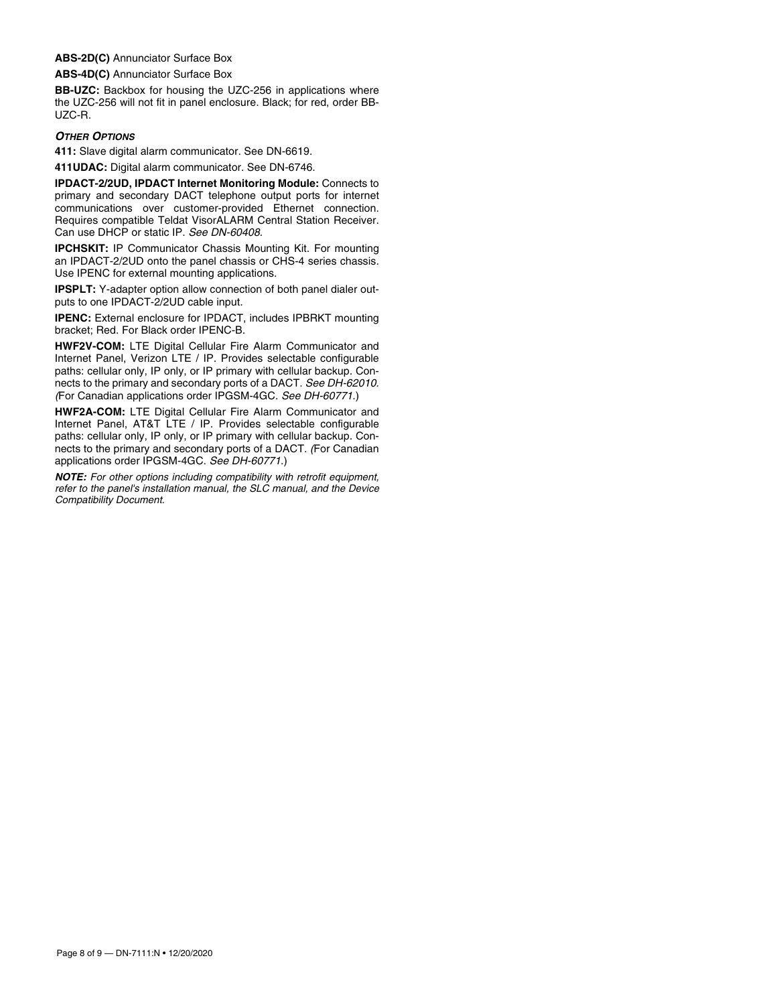#### **ABS-2D(C)** Annunciator Surface Box

**ABS-4D(C)** Annunciator Surface Box

**BB-UZC:** Backbox for housing the UZC-256 in applications where the UZC-256 will not fit in panel enclosure. Black; for red, order BB-UZC-R.

#### *OTHER OPTIONS*

**411:** Slave digital alarm communicator. See DN-6619.

**411UDAC:** Digital alarm communicator. See DN-6746.

**IPDACT-2/2UD, IPDACT Internet Monitoring Module:** Connects to primary and secondary DACT telephone output ports for internet communications over customer-provided Ethernet connection. Requires compatible Teldat VisorALARM Central Station Receiver. Can use DHCP or static IP. *See DN-60408.*

**IPCHSKIT:** IP Communicator Chassis Mounting Kit. For mounting an IPDACT-2/2UD onto the panel chassis or CHS-4 series chassis. Use IPENC for external mounting applications.

**IPSPLT:** Y-adapter option allow connection of both panel dialer outputs to one IPDACT-2/2UD cable input.

**IPENC:** External enclosure for IPDACT, includes IPBRKT mounting bracket; Red. For Black order IPENC-B.

**HWF2V-COM:** LTE Digital Cellular Fire Alarm Communicator and Internet Panel, Verizon LTE / IP. Provides selectable configurable paths: cellular only, IP only, or IP primary with cellular backup. Connects to the primary and secondary ports of a DACT. *See DH-62010. (*For Canadian applications order IPGSM-4GC. *See DH-60771*.)

**HWF2A-COM:** LTE Digital Cellular Fire Alarm Communicator and Internet Panel, AT&T LTE / IP. Provides selectable configurable paths: cellular only, IP only, or IP primary with cellular backup. Connects to the primary and secondary ports of a DACT. *(*For Canadian applications order IPGSM-4GC. *See DH-60771*.)

*NOTE: For other options including compatibility with retrofit equipment, refer to the panel's installation manual, the SLC manual, and the Device Compatibility Document.*